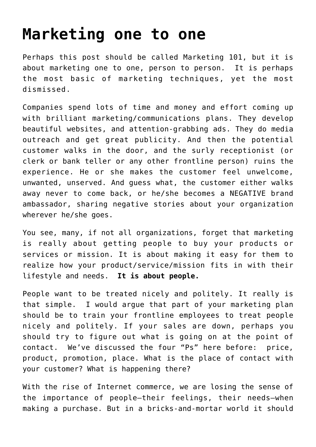## **[Marketing one to one](https://deborahbrody.com/2010/05/marketing-one-to-one/)**

Perhaps this post should be called Marketing 101, but it is about marketing one to one, person to person. It is perhaps the most basic of marketing techniques, yet the most dismissed.

Companies spend lots of time and money and effort coming up with brilliant marketing/communications plans. They develop beautiful websites, and attention-grabbing ads. They do media outreach and get great publicity. And then the potential customer walks in the door, and the surly receptionist (or clerk or bank teller or any other frontline person) ruins the experience. He or she makes the customer feel unwelcome, unwanted, unserved. And guess what, the customer either walks away never to come back, or he/she becomes a NEGATIVE brand ambassador, sharing negative stories about your organization wherever he/she goes.

You see, many, if not all organizations, forget that marketing is really about getting people to buy your products or services or mission. It is about making it easy for them to realize how your product/service/mission fits in with their lifestyle and needs. **It is about people.**

People want to be treated nicely and politely. It really is that simple. I would argue that part of your marketing plan should be to train your frontline employees to treat people nicely and politely. If your sales are down, perhaps you should try to figure out what is going on at the point of contact. We've discussed the four "Ps" here before: price, product, promotion, place. What is the place of contact with your customer? What is happening there?

With the rise of Internet commerce, we are losing the sense of the importance of people–their feelings, their needs–when making a purchase. But in a bricks-and-mortar world it should